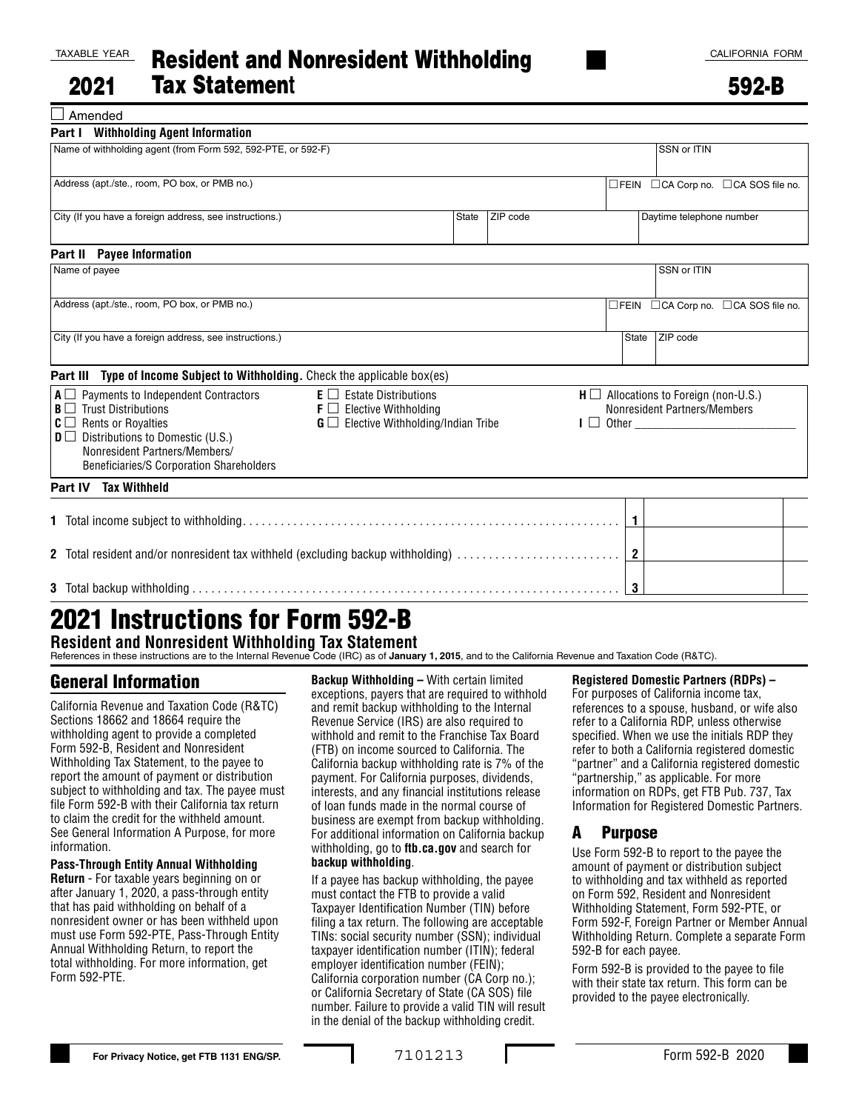□ Amended

592-B

| <b>Part I</b> Withholding Agent Information                                                                                                                                                                                                                    |                                                                                                                             |              |          |                                                                                                        |                                                       |  |  |
|----------------------------------------------------------------------------------------------------------------------------------------------------------------------------------------------------------------------------------------------------------------|-----------------------------------------------------------------------------------------------------------------------------|--------------|----------|--------------------------------------------------------------------------------------------------------|-------------------------------------------------------|--|--|
| Name of withholding agent (from Form 592, 592-PTE, or 592-F)                                                                                                                                                                                                   |                                                                                                                             |              |          |                                                                                                        | SSN or ITIN                                           |  |  |
| Address (apt./ste., room, PO box, or PMB no.)                                                                                                                                                                                                                  |                                                                                                                             |              |          |                                                                                                        | □FEIN □CA Corp no. □CA SOS file no.                   |  |  |
| City (If you have a foreign address, see instructions.)                                                                                                                                                                                                        |                                                                                                                             | <b>State</b> | ZIP code |                                                                                                        | Daytime telephone number                              |  |  |
| <b>Payee Information</b><br>Part II                                                                                                                                                                                                                            |                                                                                                                             |              |          |                                                                                                        |                                                       |  |  |
| Name of payee                                                                                                                                                                                                                                                  |                                                                                                                             |              |          |                                                                                                        | SSN or ITIN                                           |  |  |
| Address (apt./ste., room, PO box, or PMB no.)                                                                                                                                                                                                                  |                                                                                                                             |              |          |                                                                                                        | $\Box$ FEIN $\Box$ CA Corp no. $\Box$ CA SOS file no. |  |  |
| City (If you have a foreign address, see instructions.)                                                                                                                                                                                                        |                                                                                                                             |              |          | State                                                                                                  | ZIP code                                              |  |  |
| Type of Income Subject to Withholding. Check the applicable box(es)<br>Part III                                                                                                                                                                                |                                                                                                                             |              |          |                                                                                                        |                                                       |  |  |
| Payments to Independent Contractors<br>$A \Box$<br>$B \Box$ Trust Distributions<br>$C \square$ Rents or Royalties<br>$\mathbf{D} \square$ Distributions to Domestic (U.S.)<br>Nonresident Partners/Members/<br><b>Beneficiaries/S Corporation Shareholders</b> | $E \Box$ Estate Distributions<br>$\mathsf{F} \square$ Elective Withholding<br>$G \square$ Elective Withholding/Indian Tribe |              |          | $H \square$ Allocations to Foreign (non-U.S.)<br>Nonresident Partners/Members<br>$I \Box$ Other $\Box$ |                                                       |  |  |
| Part IV Tax Withheld                                                                                                                                                                                                                                           |                                                                                                                             |              |          |                                                                                                        |                                                       |  |  |
|                                                                                                                                                                                                                                                                |                                                                                                                             |              |          | $\mathbf{1}$                                                                                           |                                                       |  |  |
| 2 Total resident and/or nonresident tax withheld (excluding backup withholding)                                                                                                                                                                                |                                                                                                                             |              |          |                                                                                                        |                                                       |  |  |
|                                                                                                                                                                                                                                                                |                                                                                                                             |              |          | 3                                                                                                      |                                                       |  |  |

# 2021 Instructions for Form 592-B **Resident and Nonresident Withholding Tax Statement**

References in these instructions are to the Internal Revenue Code (IRC) as of **January 1, 2015**, and to the California Revenue and Taxation Code (R&TC).

## General Information

California Revenue and Taxation Code (R&TC) Sections 18662 and 18664 require the withholding agent to provide a completed Form 592-B, Resident and Nonresident Withholding Tax Statement, to the payee to report the amount of payment or distribution subject to withholding and tax. The payee must file Form 592-B with their California tax return to claim the credit for the withheld amount. See General Information A Purpose, for more information.

#### **Pass-Through Entity Annual Withholding**

**Return** - For taxable years beginning on or after January 1, 2020, a pass-through entity that has paid withholding on behalf of a nonresident owner or has been withheld upon must use Form 592-PTE, Pass-Through Entity Annual Withholding Return, to report the total withholding. For more information, get Form 592-PTE.

**Backup Withholding –** With certain limited exceptions, payers that are required to withhold and remit backup withholding to the Internal Revenue Service (IRS) are also required to withhold and remit to the Franchise Tax Board (FTB) on income sourced to California. The California backup withholding rate is 7% of the payment. For California purposes, dividends, interests, and any financial institutions release of loan funds made in the normal course of business are exempt from backup withholding. For additional information on California backup withholding, go to **ftb.ca.gov** and search for **backup withholding**.

If a payee has backup withholding, the payee must contact the FTB to provide a valid Taxpayer Identification Number (TIN) before filing a tax return. The following are acceptable TINs: social security number (SSN); individual taxpayer identification number (ITIN); federal employer identification number (FEIN); California corporation number (CA Corp no.); or California Secretary of State (CA SOS) file number. Failure to provide a valid TIN will result in the denial of the backup withholding credit.

#### **Registered Domestic Partners (RDPs) –**

For purposes of California income tax, references to a spouse, husband, or wife also refer to a California RDP, unless otherwise specified. When we use the initials RDP they refer to both a California registered domestic "partner" and a California registered domestic "partnership," as applicable. For more information on RDPs, get FTB Pub. 737, Tax Information for Registered Domestic Partners.

### A Purpose

Use Form 592-B to report to the payee the amount of payment or distribution subject to withholding and tax withheld as reported on Form 592, Resident and Nonresident Withholding Statement, Form 592-PTE, or Form 592-F, Foreign Partner or Member Annual Withholding Return. Complete a separate Form 592-B for each payee.

Form 592-B is provided to the payee to file with their state tax return. This form can be provided to the payee electronically.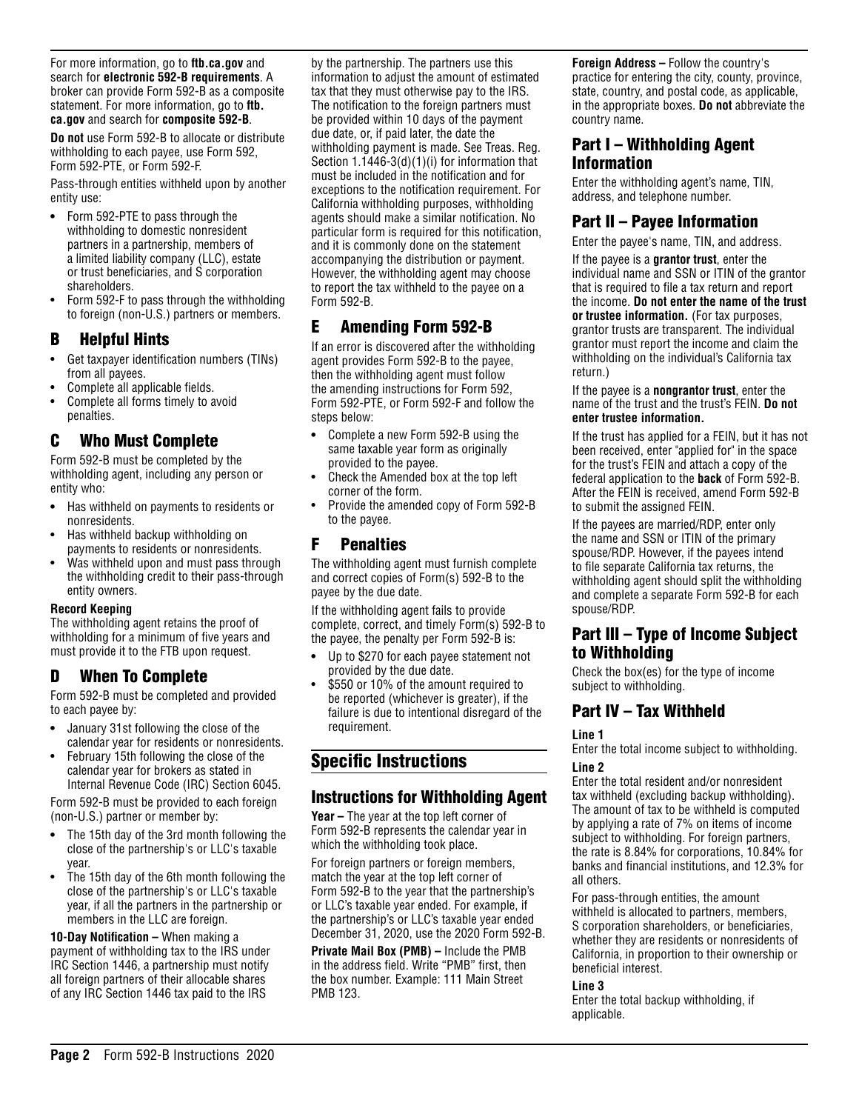For more information, go to **ftb.ca.gov** and search for **electronic 592-B requirements**. A broker can provide Form 592-B as a composite statement. For more information, go to **ftb. ca.gov** and search for **composite 592-B**.

**Do not** use Form 592-B to allocate or distribute withholding to each payee, use Form 592, Form 592-PTE, or Form 592-F.

Pass-through entities withheld upon by another entity use:

- **•** Form 592-PTE to pass through the withholding to domestic nonresident partners in a partnership, members of a limited liability company (LLC), estate or trust beneficiaries, and S corporation shareholders.
- Form 592-F to pass through the withholding to foreign (non-U.S.) partners or members.

### B Helpful Hints

- Get taxpayer identification numbers (TINs) from all payees.
- Complete all applicable fields.
- Complete all forms timely to avoid penalties.

## C Who Must Complete

Form 592-B must be completed by the withholding agent, including any person or entity who:

- **•** Has withheld on payments to residents or nonresidents.
- Has withheld backup withholding on payments to residents or nonresidents.
- Was withheld upon and must pass through the withholding credit to their pass-through entity owners.

#### **Record Keeping**

The withholding agent retains the proof of withholding for a minimum of five years and must provide it to the FTB upon request.

## D When To Complete

Form 592-B must be completed and provided to each payee by:

- **•** January 31st following the close of the calendar year for residents or nonresidents.
- February 15th following the close of the calendar year for brokers as stated in Internal Revenue Code (IRC) Section 6045.

Form 592-B must be provided to each foreign (non-U.S.) partner or member by:

- **•** The 15th day of the 3rd month following the close of the partnership's or LLC's taxable year.
- The 15th day of the 6th month following the close of the partnership's or LLC's taxable year, if all the partners in the partnership or members in the LLC are foreign.

**10-Day Notification –** When making a payment of withholding tax to the IRS under IRC Section 1446, a partnership must notify all foreign partners of their allocable shares of any IRC Section 1446 tax paid to the IRS

by the partnership. The partners use this information to adjust the amount of estimated tax that they must otherwise pay to the IRS. The notification to the foreign partners must be provided within 10 days of the payment due date, or, if paid later, the date the withholding payment is made. See Treas. Reg. Section 1.1446-3(d)(1)(i) for information that must be included in the notification and for exceptions to the notification requirement. For California withholding purposes, withholding agents should make a similar notification. No particular form is required for this notification, and it is commonly done on the statement accompanying the distribution or payment. However, the withholding agent may choose to report the tax withheld to the payee on a Form 592-B.

# E Amending Form 592-B

If an error is discovered after the withholding agent provides Form 592-B to the payee, then the withholding agent must follow the amending instructions for Form 592, Form 592-PTE, or Form 592-F and follow the steps below:

- **•** Complete a new Form 592-B using the same taxable year form as originally provided to the payee.
- Check the Amended box at the top left corner of the form.
- Provide the amended copy of Form 592-B to the payee.

## F Penalties

The withholding agent must furnish complete and correct copies of Form(s) 592-B to the payee by the due date.

If the withholding agent fails to provide complete, correct, and timely Form(s) 592-B to the payee, the penalty per Form 592-B is:

- **•** Up to \$270 for each payee statement not provided by the due date.
- \$550 or 10% of the amount required to be reported (whichever is greater), if the failure is due to intentional disregard of the requirement.

# Specific Instructions

### Instructions for Withholding Agent

**Year –** The year at the top left corner of Form 592-B represents the calendar year in which the withholding took place.

For foreign partners or foreign members, match the year at the top left corner of Form 592-B to the year that the partnership's or LLC's taxable year ended. For example, if the partnership's or LLC's taxable year ended December 31, 2020, use the 2020 Form 592-B.

**Private Mail Box (PMB) –** Include the PMB in the address field. Write "PMB" first, then the box number. Example: 111 Main Street PMB 123.

**Foreign Address –** Follow the country's practice for entering the city, county, province, state, country, and postal code, as applicable, in the appropriate boxes. **Do not** abbreviate the country name.

### Part I – Withholding Agent Information

Enter the withholding agent's name, TIN, address, and telephone number.

## Part II – Payee Information

Enter the payee's name, TIN, and address.

If the payee is a **grantor trust**, enter the individual name and SSN or ITIN of the grantor that is required to file a tax return and report the income. **Do not enter the name of the trust or trustee information.** (For tax purposes, grantor trusts are transparent. The individual grantor must report the income and claim the withholding on the individual's California tax return.)

If the payee is a **nongrantor trust**, enter the name of the trust and the trust's FEIN. **Do not enter trustee information.**

If the trust has applied for a FEIN, but it has not been received, enter "applied for" in the space for the trust's FEIN and attach a copy of the federal application to the **back** of Form 592-B. After the FEIN is received, amend Form 592-B to submit the assigned FEIN.

If the payees are married/RDP, enter only the name and SSN or ITIN of the primary spouse/RDP. However, if the payees intend to file separate California tax returns, the withholding agent should split the withholding and complete a separate Form 592-B for each spouse/RDP.

## Part III – Type of Income Subject to Withholding

Check the box(es) for the type of income subject to withholding.

## Part IV – Tax Withheld

#### **Line 1**

Enter the total income subject to withholding. **Line 2**

Enter the total resident and/or nonresident tax withheld (excluding backup withholding). The amount of tax to be withheld is computed by applying a rate of 7% on items of income subject to withholding. For foreign partners, the rate is 8.84% for corporations, 10.84% for banks and financial institutions, and 12.3% for all others.

For pass-through entities, the amount withheld is allocated to partners, members, S corporation shareholders, or beneficiaries, whether they are residents or nonresidents of California, in proportion to their ownership or beneficial interest.

#### **Line 3**

Enter the total backup withholding, if applicable.